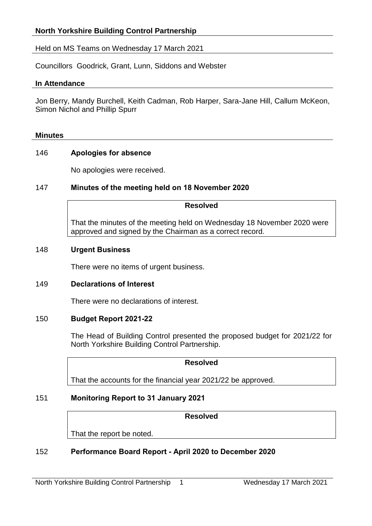# Held on MS Teams on Wednesday 17 March 2021

Councillors Goodrick, Grant, Lunn, Siddons and Webster

### **In Attendance**

Jon Berry, Mandy Burchell, Keith Cadman, Rob Harper, Sara-Jane Hill, Callum McKeon, Simon Nichol and Phillip Spurr

#### **Minutes**

# 146 **Apologies for absence**

No apologies were received.

# 147 **Minutes of the meeting held on 18 November 2020**

#### **Resolved**

That the minutes of the meeting held on Wednesday 18 November 2020 were approved and signed by the Chairman as a correct record.

### 148 **Urgent Business**

There were no items of urgent business.

# 149 **Declarations of Interest**

There were no declarations of interest.

# 150 **Budget Report 2021-22**

The Head of Building Control presented the proposed budget for 2021/22 for North Yorkshire Building Control Partnership.

### **Resolved**

That the accounts for the financial year 2021/22 be approved.

# 151 **Monitoring Report to 31 January 2021**

#### **Resolved**

That the report be noted.

# 152 **Performance Board Report - April 2020 to December 2020**